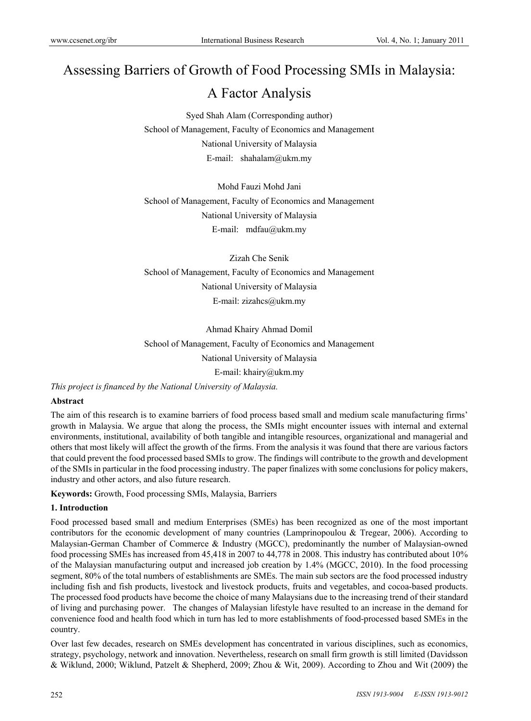# Assessing Barriers of Growth of Food Processing SMIs in Malaysia: A Factor Analysis

Syed Shah Alam (Corresponding author) School of Management, Faculty of Economics and Management National University of Malaysia E-mail: shahalam@ukm.my

Mohd Fauzi Mohd Jani School of Management, Faculty of Economics and Management National University of Malaysia E-mail: mdfau@ukm.my

Zizah Che Senik School of Management, Faculty of Economics and Management National University of Malaysia E-mail: zizahcs@ukm.my

Ahmad Khairy Ahmad Domil School of Management, Faculty of Economics and Management National University of Malaysia E-mail: khairy@ukm.my

*This project is financed by the National University of Malaysia.*

## **Abstract**

The aim of this research is to examine barriers of food process based small and medium scale manufacturing firms' growth in Malaysia. We argue that along the process, the SMIs might encounter issues with internal and external environments, institutional, availability of both tangible and intangible resources, organizational and managerial and others that most likely will affect the growth of the firms. From the analysis it was found that there are various factors that could prevent the food processed based SMIs to grow. The findings will contribute to the growth and development of the SMIs in particular in the food processing industry. The paper finalizes with some conclusions for policy makers, industry and other actors, and also future research.

**Keywords:** Growth, Food processing SMIs, Malaysia, Barriers

#### **1. Introduction**

Food processed based small and medium Enterprises (SMEs) has been recognized as one of the most important contributors for the economic development of many countries (Lamprinopoulou & Tregear, 2006). According to Malaysian-German Chamber of Commerce & Industry (MGCC), predominantly the number of Malaysian-owned food processing SMEs has increased from 45,418 in 2007 to 44,778 in 2008. This industry has contributed about 10% of the Malaysian manufacturing output and increased job creation by 1.4% (MGCC, 2010). In the food processing segment, 80% of the total numbers of establishments are SMEs. The main sub sectors are the food processed industry including fish and fish products, livestock and livestock products, fruits and vegetables, and cocoa-based products. The processed food products have become the choice of many Malaysians due to the increasing trend of their standard of living and purchasing power. The changes of Malaysian lifestyle have resulted to an increase in the demand for convenience food and health food which in turn has led to more establishments of food-processed based SMEs in the country.

Over last few decades, research on SMEs development has concentrated in various disciplines, such as economics, strategy, psychology, network and innovation. Nevertheless, research on small firm growth is still limited (Davidsson & Wiklund, 2000; Wiklund, Patzelt & Shepherd, 2009; Zhou & Wit, 2009). According to Zhou and Wit (2009) the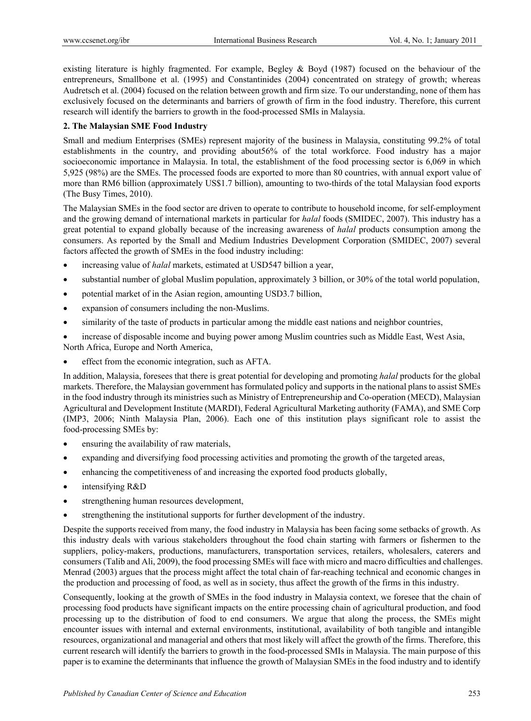existing literature is highly fragmented. For example, Begley & Boyd (1987) focused on the behaviour of the entrepreneurs, Smallbone et al. (1995) and Constantinides (2004) concentrated on strategy of growth; whereas Audretsch et al. (2004) focused on the relation between growth and firm size. To our understanding, none of them has exclusively focused on the determinants and barriers of growth of firm in the food industry. Therefore, this current research will identify the barriers to growth in the food-processed SMIs in Malaysia.

## **2. The Malaysian SME Food Industry**

Small and medium Enterprises (SMEs) represent majority of the business in Malaysia, constituting 99.2% of total establishments in the country, and providing about56% of the total workforce. Food industry has a major socioeconomic importance in Malaysia. In total, the establishment of the food processing sector is 6,069 in which 5,925 (98%) are the SMEs. The processed foods are exported to more than 80 countries, with annual export value of more than RM6 billion (approximately US\$1.7 billion), amounting to two-thirds of the total Malaysian food exports (The Busy Times, 2010).

The Malaysian SMEs in the food sector are driven to operate to contribute to household income, for self-employment and the growing demand of international markets in particular for *halal* foods (SMIDEC, 2007). This industry has a great potential to expand globally because of the increasing awareness of *halal* products consumption among the consumers. As reported by the Small and Medium Industries Development Corporation (SMIDEC, 2007) several factors affected the growth of SMEs in the food industry including:

- increasing value of *halal* markets, estimated at USD547 billion a year,
- substantial number of global Muslim population, approximately 3 billion, or 30% of the total world population,
- potential market of in the Asian region, amounting USD3.7 billion,
- expansion of consumers including the non-Muslims.
- similarity of the taste of products in particular among the middle east nations and neighbor countries,
- increase of disposable income and buying power among Muslim countries such as Middle East, West Asia, North Africa, Europe and North America,
- effect from the economic integration, such as AFTA.

In addition, Malaysia, foresees that there is great potential for developing and promoting *halal* products for the global markets. Therefore, the Malaysian government has formulated policy and supports in the national plans to assist SMEs in the food industry through its ministries such as Ministry of Entrepreneurship and Co-operation (MECD), Malaysian Agricultural and Development Institute (MARDI), Federal Agricultural Marketing authority (FAMA), and SME Corp (IMP3, 2006; Ninth Malaysia Plan, 2006). Each one of this institution plays significant role to assist the food-processing SMEs by:

- ensuring the availability of raw materials,
- expanding and diversifying food processing activities and promoting the growth of the targeted areas,
- enhancing the competitiveness of and increasing the exported food products globally,
- intensifying R&D
- strengthening human resources development,
- strengthening the institutional supports for further development of the industry.

Despite the supports received from many, the food industry in Malaysia has been facing some setbacks of growth. As this industry deals with various stakeholders throughout the food chain starting with farmers or fishermen to the suppliers, policy-makers, productions, manufacturers, transportation services, retailers, wholesalers, caterers and consumers (Talib and Ali, 2009), the food processing SMEs will face with micro and macro difficulties and challenges. Menrad (2003) argues that the process might affect the total chain of far-reaching technical and economic changes in the production and processing of food, as well as in society, thus affect the growth of the firms in this industry.

Consequently, looking at the growth of SMEs in the food industry in Malaysia context, we foresee that the chain of processing food products have significant impacts on the entire processing chain of agricultural production, and food processing up to the distribution of food to end consumers. We argue that along the process, the SMEs might encounter issues with internal and external environments, institutional, availability of both tangible and intangible resources, organizational and managerial and others that most likely will affect the growth of the firms. Therefore, this current research will identify the barriers to growth in the food-processed SMIs in Malaysia. The main purpose of this paper is to examine the determinants that influence the growth of Malaysian SMEs in the food industry and to identify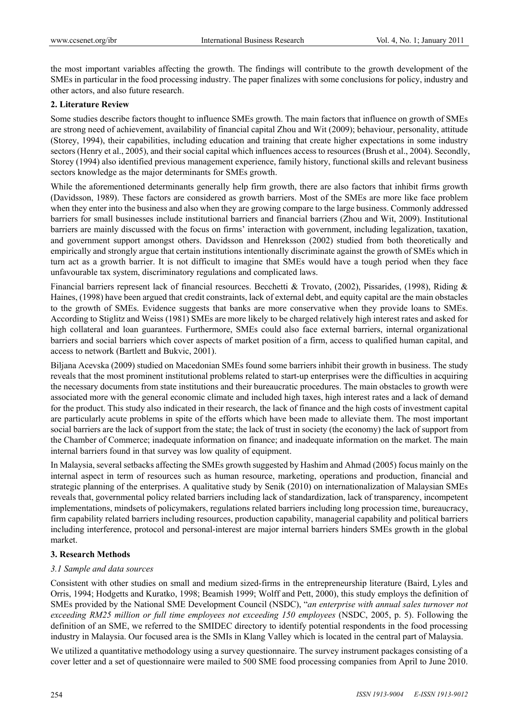the most important variables affecting the growth. The findings will contribute to the growth development of the SMEs in particular in the food processing industry. The paper finalizes with some conclusions for policy, industry and other actors, and also future research.

## **2. Literature Review**

Some studies describe factors thought to influence SMEs growth. The main factors that influence on growth of SMEs are strong need of achievement, availability of financial capital Zhou and Wit (2009); behaviour, personality, attitude (Storey, 1994), their capabilities, including education and training that create higher expectations in some industry sectors (Henry et al., 2005), and their social capital which influences access to resources (Brush et al., 2004). Secondly, Storey (1994) also identified previous management experience, family history, functional skills and relevant business sectors knowledge as the major determinants for SMEs growth.

While the aforementioned determinants generally help firm growth, there are also factors that inhibit firms growth (Davidsson, 1989). These factors are considered as growth barriers. Most of the SMEs are more like face problem when they enter into the business and also when they are growing compare to the large business. Commonly addressed barriers for small businesses include institutional barriers and financial barriers (Zhou and Wit, 2009). Institutional barriers are mainly discussed with the focus on firms' interaction with government, including legalization, taxation, and government support amongst others. Davidsson and Henreksson (2002) studied from both theoretically and empirically and strongly argue that certain institutions intentionally discriminate against the growth of SMEs which in turn act as a growth barrier. It is not difficult to imagine that SMEs would have a tough period when they face unfavourable tax system, discriminatory regulations and complicated laws.

Financial barriers represent lack of financial resources. Becchetti & Trovato, (2002), Pissarides, (1998), Riding & Haines, (1998) have been argued that credit constraints, lack of external debt, and equity capital are the main obstacles to the growth of SMEs. Evidence suggests that banks are more conservative when they provide loans to SMEs. According to Stiglitz and Weiss (1981) SMEs are more likely to be charged relatively high interest rates and asked for high collateral and loan guarantees. Furthermore, SMEs could also face external barriers, internal organizational barriers and social barriers which cover aspects of market position of a firm, access to qualified human capital, and access to network (Bartlett and Bukvic, 2001).

Biljana Acevska (2009) studied on Macedonian SMEs found some barriers inhibit their growth in business. The study reveals that the most prominent institutional problems related to start-up enterprises were the difficulties in acquiring the necessary documents from state institutions and their bureaucratic procedures. The main obstacles to growth were associated more with the general economic climate and included high taxes, high interest rates and a lack of demand for the product. This study also indicated in their research, the lack of finance and the high costs of investment capital are particularly acute problems in spite of the efforts which have been made to alleviate them. The most important social barriers are the lack of support from the state; the lack of trust in society (the economy) the lack of support from the Chamber of Commerce; inadequate information on finance; and inadequate information on the market. The main internal barriers found in that survey was low quality of equipment.

In Malaysia, several setbacks affecting the SMEs growth suggested by Hashim and Ahmad (2005) focus mainly on the internal aspect in term of resources such as human resource, marketing, operations and production, financial and strategic planning of the enterprises. A qualitative study by Senik (2010) on internationalization of Malaysian SMEs reveals that, governmental policy related barriers including lack of standardization, lack of transparency, incompetent implementations, mindsets of policymakers, regulations related barriers including long procession time, bureaucracy, firm capability related barriers including resources, production capability, managerial capability and political barriers including interference, protocol and personal-interest are major internal barriers hinders SMEs growth in the global market.

## **3. Research Methods**

## *3.1 Sample and data sources*

Consistent with other studies on small and medium sized-firms in the entrepreneurship literature (Baird, Lyles and Orris, 1994; Hodgetts and Kuratko, 1998; Beamish 1999; Wolff and Pett, 2000), this study employs the definition of SMEs provided by the National SME Development Council (NSDC), "*an enterprise with annual sales turnover not exceeding RM25 million or full time employees not exceeding 150 employees* (NSDC, 2005, p. 5). Following the definition of an SME, we referred to the SMIDEC directory to identify potential respondents in the food processing industry in Malaysia. Our focused area is the SMIs in Klang Valley which is located in the central part of Malaysia.

We utilized a quantitative methodology using a survey questionnaire. The survey instrument packages consisting of a cover letter and a set of questionnaire were mailed to 500 SME food processing companies from April to June 2010.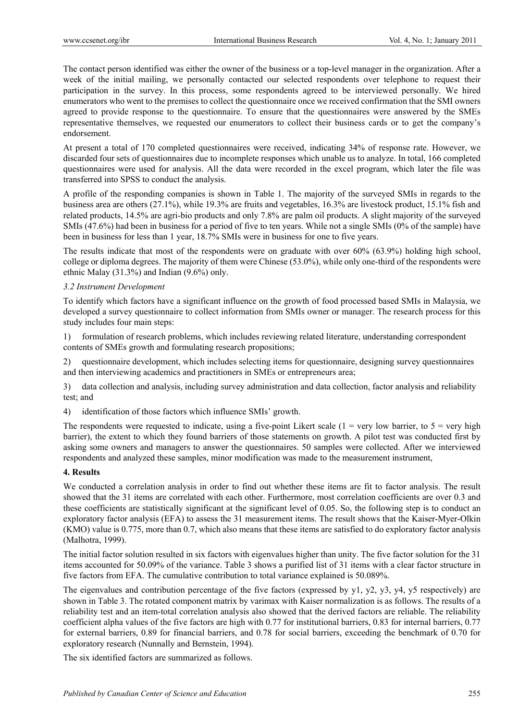The contact person identified was either the owner of the business or a top-level manager in the organization. After a week of the initial mailing, we personally contacted our selected respondents over telephone to request their participation in the survey. In this process, some respondents agreed to be interviewed personally. We hired enumerators who went to the premises to collect the questionnaire once we received confirmation that the SMI owners agreed to provide response to the questionnaire. To ensure that the questionnaires were answered by the SMEs representative themselves, we requested our enumerators to collect their business cards or to get the company's endorsement.

At present a total of 170 completed questionnaires were received, indicating 34% of response rate. However, we discarded four sets of questionnaires due to incomplete responses which unable us to analyze. In total, 166 completed questionnaires were used for analysis. All the data were recorded in the excel program, which later the file was transferred into SPSS to conduct the analysis.

A profile of the responding companies is shown in Table 1. The majority of the surveyed SMIs in regards to the business area are others (27.1%), while 19.3% are fruits and vegetables, 16.3% are livestock product, 15.1% fish and related products, 14.5% are agri-bio products and only 7.8% are palm oil products. A slight majority of the surveyed SMIs (47.6%) had been in business for a period of five to ten years. While not a single SMIs (0% of the sample) have been in business for less than 1 year, 18.7% SMIs were in business for one to five years.

The results indicate that most of the respondents were on graduate with over 60% (63.9%) holding high school, college or diploma degrees. The majority of them were Chinese (53.0%), while only one-third of the respondents were ethnic Malay (31.3%) and Indian (9.6%) only.

## *3.2 Instrument Development*

To identify which factors have a significant influence on the growth of food processed based SMIs in Malaysia, we developed a survey questionnaire to collect information from SMIs owner or manager. The research process for this study includes four main steps:

1) formulation of research problems, which includes reviewing related literature, understanding correspondent contents of SMEs growth and formulating research propositions;

2) questionnaire development, which includes selecting items for questionnaire, designing survey questionnaires and then interviewing academics and practitioners in SMEs or entrepreneurs area;

3) data collection and analysis, including survey administration and data collection, factor analysis and reliability test; and

4) identification of those factors which influence SMIs' growth.

The respondents were requested to indicate, using a five-point Likert scale ( $1 = \text{very low barrier}$ , to  $5 = \text{very high}$ ) barrier), the extent to which they found barriers of those statements on growth. A pilot test was conducted first by asking some owners and managers to answer the questionnaires. 50 samples were collected. After we interviewed respondents and analyzed these samples, minor modification was made to the measurement instrument,

## **4. Results**

We conducted a correlation analysis in order to find out whether these items are fit to factor analysis. The result showed that the 31 items are correlated with each other. Furthermore, most correlation coefficients are over 0.3 and these coefficients are statistically significant at the significant level of 0.05. So, the following step is to conduct an exploratory factor analysis (EFA) to assess the 31 measurement items. The result shows that the Kaiser-Myer-Olkin (KMO) value is 0.775, more than 0.7, which also means that these items are satisfied to do exploratory factor analysis (Malhotra, 1999).

The initial factor solution resulted in six factors with eigenvalues higher than unity. The five factor solution for the 31 items accounted for 50.09% of the variance. Table 3 shows a purified list of 31 items with a clear factor structure in five factors from EFA. The cumulative contribution to total variance explained is 50.089%.

The eigenvalues and contribution percentage of the five factors (expressed by y1, y2, y3, y4, y5 respectively) are shown in Table 3. The rotated component matrix by varimax with Kaiser normalization is as follows. The results of a reliability test and an item-total correlation analysis also showed that the derived factors are reliable. The reliability coefficient alpha values of the five factors are high with 0.77 for institutional barriers, 0.83 for internal barriers, 0.77 for external barriers, 0.89 for financial barriers, and 0.78 for social barriers, exceeding the benchmark of 0.70 for exploratory research (Nunnally and Bernstein, 1994).

The six identified factors are summarized as follows.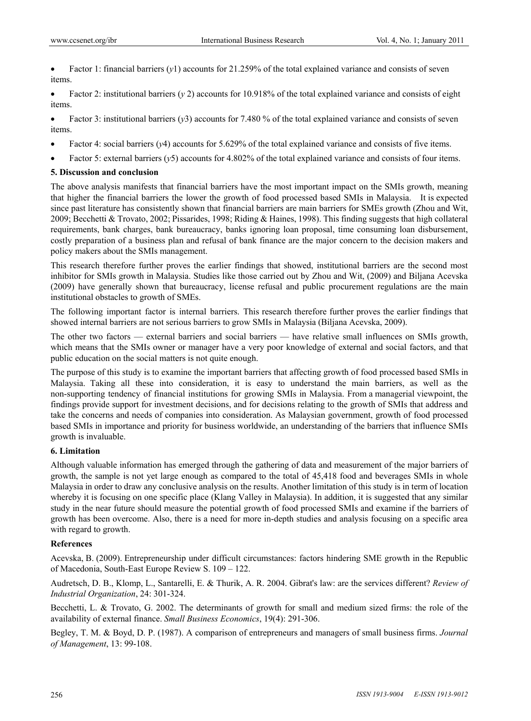- Factor 1: financial barriers (*y*1) accounts for 21.259% of the total explained variance and consists of seven items.
- Factor 2: institutional barriers  $(y 2)$  accounts for 10.918% of the total explained variance and consists of eight items.

 Factor 3: institutional barriers (*y*3) accounts for 7.480 % of the total explained variance and consists of seven items.

- Factor 4: social barriers (*y*4) accounts for 5.629% of the total explained variance and consists of five items.
- Factor 5: external barriers ( $v$ 5) accounts for 4.802% of the total explained variance and consists of four items.

## **5. Discussion and conclusion**

The above analysis manifests that financial barriers have the most important impact on the SMIs growth, meaning that higher the financial barriers the lower the growth of food processed based SMIs in Malaysia. It is expected since past literature has consistently shown that financial barriers are main barriers for SMEs growth (Zhou and Wit, 2009; Becchetti & Trovato, 2002; Pissarides, 1998; Riding & Haines, 1998). This finding suggests that high collateral requirements, bank charges, bank bureaucracy, banks ignoring loan proposal, time consuming loan disbursement, costly preparation of a business plan and refusal of bank finance are the major concern to the decision makers and policy makers about the SMIs management.

This research therefore further proves the earlier findings that showed, institutional barriers are the second most inhibitor for SMIs growth in Malaysia. Studies like those carried out by Zhou and Wit, (2009) and Biljana Acevska (2009) have generally shown that bureaucracy, license refusal and public procurement regulations are the main institutional obstacles to growth of SMEs.

The following important factor is internal barriers. This research therefore further proves the earlier findings that showed internal barriers are not serious barriers to grow SMIs in Malaysia (Biljana Acevska, 2009).

The other two factors — external barriers and social barriers — have relative small influences on SMIs growth, which means that the SMIs owner or manager have a very poor knowledge of external and social factors, and that public education on the social matters is not quite enough.

The purpose of this study is to examine the important barriers that affecting growth of food processed based SMIs in Malaysia. Taking all these into consideration, it is easy to understand the main barriers, as well as the non-supporting tendency of financial institutions for growing SMIs in Malaysia. From a managerial viewpoint, the findings provide support for investment decisions, and for decisions relating to the growth of SMIs that address and take the concerns and needs of companies into consideration. As Malaysian government, growth of food processed based SMIs in importance and priority for business worldwide, an understanding of the barriers that influence SMIs growth is invaluable.

## **6. Limitation**

Although valuable information has emerged through the gathering of data and measurement of the major barriers of growth, the sample is not yet large enough as compared to the total of 45,418 food and beverages SMIs in whole Malaysia in order to draw any conclusive analysis on the results. Another limitation of this study is in term of location whereby it is focusing on one specific place (Klang Valley in Malaysia). In addition, it is suggested that any similar study in the near future should measure the potential growth of food processed SMIs and examine if the barriers of growth has been overcome. Also, there is a need for more in-depth studies and analysis focusing on a specific area with regard to growth.

## **References**

Acevska, B. (2009). Entrepreneurship under difficult circumstances: factors hindering SME growth in the Republic of Macedonia, South-East Europe Review S. 109 – 122.

Audretsch, D. B., Klomp, L., Santarelli, E. & Thurik, A. R. 2004. Gibrat's law: are the services different? *Review of Industrial Organization*, 24: 301-324.

Becchetti, L. & Trovato, G. 2002. The determinants of growth for small and medium sized firms: the role of the availability of external finance. *Small Business Economics*, 19(4): 291-306.

Begley, T. M. & Boyd, D. P. (1987). A comparison of entrepreneurs and managers of small business firms. *Journal of Management*, 13: 99-108.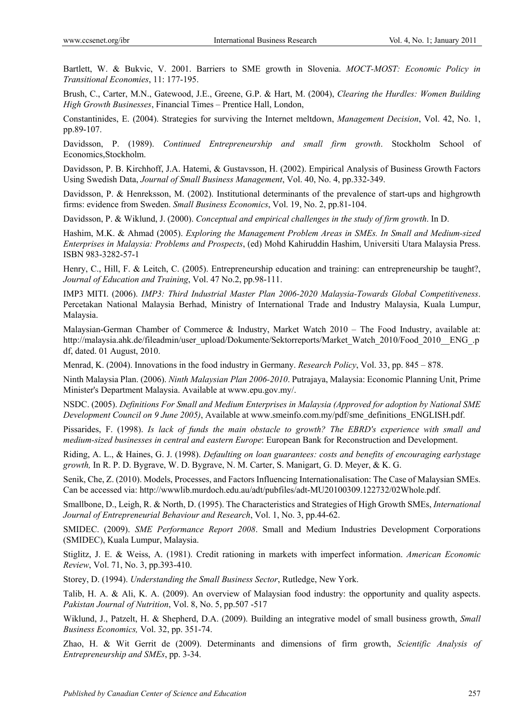Bartlett, W. & Bukvic, V. 2001. Barriers to SME growth in Slovenia. *MOCT-MOST: Economic Policy in Transitional Economies*, 11: 177-195.

Brush, C., Carter, M.N., Gatewood, J.E., Greene, G.P. & Hart, M. (2004), *Clearing the Hurdles: Women Building High Growth Businesses*, Financial Times – Prentice Hall, London,

Constantinides, E. (2004). Strategies for surviving the Internet meltdown, *Management Decision*, Vol. 42, No. 1, pp.89-107.

Davidsson, P. (1989). *Continued Entrepreneurship and small firm growth*. Stockholm School of Economics,Stockholm.

Davidsson, P. B. Kirchhoff, J.A. Hatemi, & Gustavsson, H. (2002). Empirical Analysis of Business Growth Factors Using Swedish Data, *Journal of Small Business Management*, Vol. 40, No. 4, pp.332-349.

Davidsson, P. & Henreksson, M. (2002). Institutional determinants of the prevalence of start-ups and highgrowth firms: evidence from Sweden. *Small Business Economics*, Vol. 19, No. 2, pp.81-104.

Davidsson, P. & Wiklund, J. (2000). *Conceptual and empirical challenges in the study of firm growth*. In D.

Hashim, M.K. & Ahmad (2005). *Exploring the Management Problem Areas in SMEs. In Small and Medium-sized Enterprises in Malaysia: Problems and Prospects*, (ed) Mohd Kahiruddin Hashim, Universiti Utara Malaysia Press. ISBN 983-3282-57-1

Henry, C., Hill, F. & Leitch, C. (2005). Entrepreneurship education and training: can entrepreneurship be taught?, *Journal of Education and Training*, Vol. 47 No.2, pp.98-111.

IMP3 MITI. (2006). *IMP3: Third Industrial Master Plan 2006-2020 Malaysia-Towards Global Competitiveness*. Percetakan National Malaysia Berhad, Ministry of International Trade and Industry Malaysia, Kuala Lumpur, Malaysia.

Malaysian-German Chamber of Commerce & Industry, Market Watch 2010 – The Food Industry, available at: http://malaysia.ahk.de/fileadmin/user\_upload/Dokumente/Sektorreports/Market\_Watch\_2010/Food\_2010\_ENG\_.p df, dated. 01 August, 2010.

Menrad, K. (2004). Innovations in the food industry in Germany. *Research Policy*, Vol. 33, pp. 845 – 878.

Ninth Malaysia Plan. (2006). *Ninth Malaysian Plan 2006-2010*. Putrajaya, Malaysia: Economic Planning Unit, Prime Minister's Department Malaysia. Available at www.epu.gov.my/.

NSDC. (2005). *Definitions For Small and Medium Enterprises in Malaysia (Approved for adoption by National SME Development Council on 9 June 2005)*, Available at www.smeinfo.com.my/pdf/sme\_definitions\_ENGLISH.pdf.

Pissarides, F. (1998). *Is lack of funds the main obstacle to growth? The EBRD's experience with small and medium-sized businesses in central and eastern Europe*: European Bank for Reconstruction and Development.

Riding, A. L., & Haines, G. J. (1998). *Defaulting on loan guarantees: costs and benefits of encouraging earlystage growth,* In R. P. D. Bygrave, W. D. Bygrave, N. M. Carter, S. Manigart, G. D. Meyer, & K. G.

Senik, Che, Z. (2010). Models, Processes, and Factors Influencing Internationalisation: The Case of Malaysian SMEs. Can be accessed via: http://wwwlib.murdoch.edu.au/adt/pubfiles/adt-MU20100309.122732/02Whole.pdf.

Smallbone, D., Leigh, R. & North, D. (1995). The Characteristics and Strategies of High Growth SMEs, *International Journal of Entrepreneurial Behaviour and Research*, Vol. 1, No. 3, pp.44-62.

SMIDEC. (2009). *SME Performance Report 2008*. Small and Medium Industries Development Corporations (SMIDEC), Kuala Lumpur, Malaysia.

Stiglitz, J. E. & Weiss, A. (1981). Credit rationing in markets with imperfect information. *American Economic Review*, Vol. 71, No. 3, pp.393-410.

Storey, D. (1994). *Understanding the Small Business Sector*, Rutledge, New York.

Talib, H. A. & Ali, K. A. (2009). An overview of Malaysian food industry: the opportunity and quality aspects. *Pakistan Journal of Nutrition*, Vol. 8, No. 5, pp.507 -517

Wiklund, J., Patzelt, H. & Shepherd, D.A. (2009). Building an integrative model of small business growth, *Small Business Economics,* Vol. 32, pp. 351-74.

Zhao, H. & Wit Gerrit de (2009). Determinants and dimensions of firm growth, *Scientific Analysis of Entrepreneurship and SMEs*, pp. 3-34.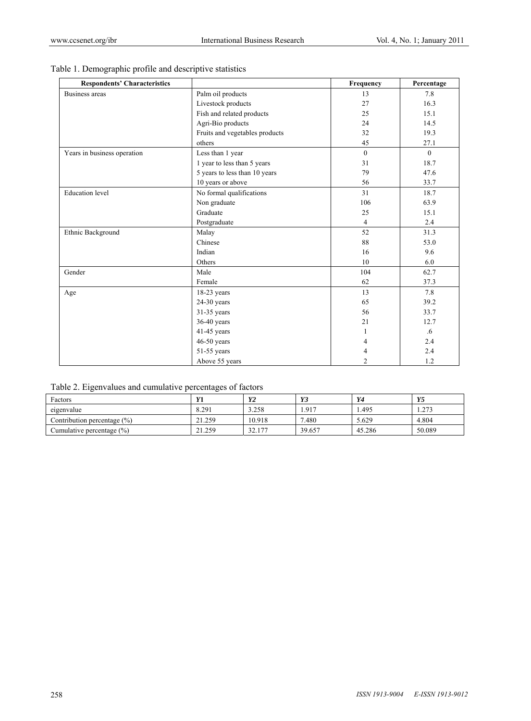| Table 1. Demographic profile and descriptive statistics |  |  |  |  |  |
|---------------------------------------------------------|--|--|--|--|--|
|---------------------------------------------------------|--|--|--|--|--|

| <b>Respondents' Characteristics</b> |                                | Frequency | Percentage |
|-------------------------------------|--------------------------------|-----------|------------|
| Business areas                      | Palm oil products              | 13        | 7.8        |
|                                     | Livestock products             | 27        | 16.3       |
|                                     | Fish and related products      | 25        | 15.1       |
|                                     | Agri-Bio products              | 24        | 14.5       |
|                                     | Fruits and vegetables products | 32        | 19.3       |
|                                     | others                         | 45        | 27.1       |
| Years in business operation         | Less than 1 year               | $\theta$  | $\theta$   |
|                                     | 1 year to less than 5 years    | 31        | 18.7       |
|                                     | 5 years to less than 10 years  | 79        | 47.6       |
|                                     | 10 years or above              | 56        | 33.7       |
| <b>Education</b> level              | No formal qualifications       | 31        | 18.7       |
|                                     | Non graduate                   | 106       | 63.9       |
|                                     | Graduate                       | 25        | 15.1       |
|                                     | Postgraduate                   | 4         | 2.4        |
| Ethnic Background                   | Malay                          | 52        | 31.3       |
|                                     | Chinese                        | 88        | 53.0       |
|                                     | Indian                         | 16        | 9.6        |
|                                     | Others                         | 10        | 6.0        |
| Gender                              | Male                           | 104       | 62.7       |
|                                     | Female                         | 62        | 37.3       |
| Age                                 | $18-23$ years                  | 13        | 7.8        |
|                                     | $24-30$ years                  | 65        | 39.2       |
|                                     | 31-35 years                    | 56        | 33.7       |
|                                     | 36-40 years                    | 21        | 12.7       |
|                                     | $41-45$ years                  | 1         | $.6\,$     |
|                                     | $46-50$ years                  | 4         | 2.4        |
|                                     | 51-55 years                    | 4         | 2.4        |
|                                     | Above 55 years                 | 2         | 1.2        |

| Table 2. Eigenvalues and cumulative percentages of factors |  |  |
|------------------------------------------------------------|--|--|
|                                                            |  |  |

| Factors                      | 371    | T72<br>       | Y3     | Y4     | TZ<br>1 J |
|------------------------------|--------|---------------|--------|--------|-----------|
| eigenvalue                   | 8.291  | 3.258         | 1.917  | 1.495  | 1.273     |
| Contribution percentage (%)  | 21.259 | 10.918        | 7.480  | 5.629  | 4.804     |
| Cumulative percentage $(\%)$ | 21.259 | 177<br>$\sim$ | 39.657 | 45.286 | 50.089    |